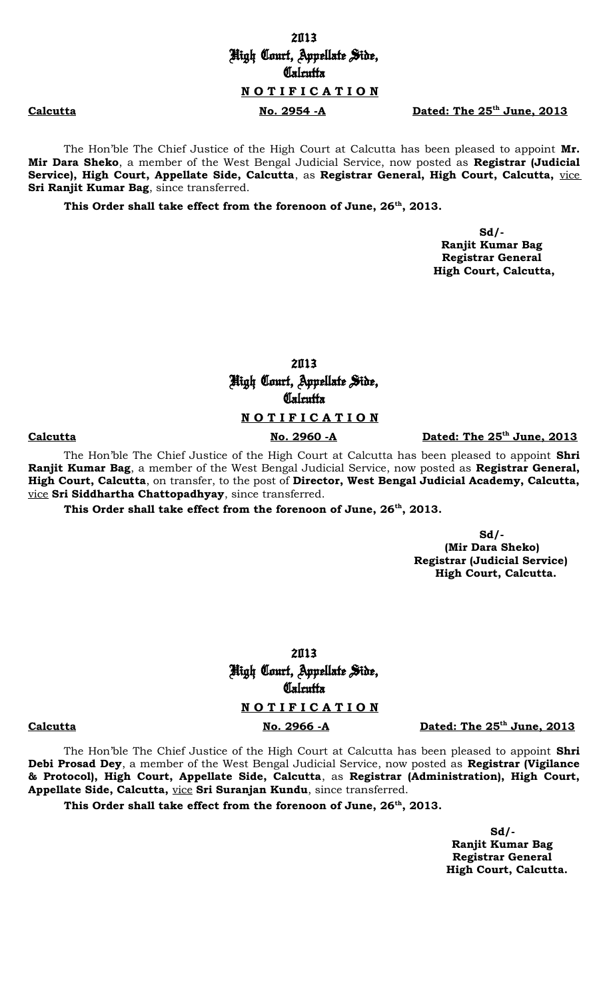# 2013 High Court, Appellate Side, **Calcutta N O T I F I C A T I O N**

**Calcutta No. 2954 -A Dated: The 25th June, 2013**

The Hon'ble The Chief Justice of the High Court at Calcutta has been pleased to appoint **Mr. Mir Dara Sheko**, a member of the West Bengal Judicial Service, now posted as **Registrar (Judicial Service), High Court, Appellate Side, Calcutta**, as **Registrar General, High Court, Calcutta,** vice **Sri Ranjit Kumar Bag**, since transferred.

**This Order shall take effect from the forenoon of June, 26th, 2013.**

 **Sd/- Ranjit Kumar Bag Registrar General High Court, Calcutta,**

> 2013 High Court, Appellate Side, **Calcutta**

## **N O T I F I C A T I O N**

**Calcutta No. 2960 -A Dated: The 25th June, 2013**

The Hon'ble The Chief Justice of the High Court at Calcutta has been pleased to appoint **Shri Ranjit Kumar Bag**, a member of the West Bengal Judicial Service, now posted as **Registrar General, High Court, Calcutta**, on transfer, to the post of **Director, West Bengal Judicial Academy, Calcutta,** vice **Sri Siddhartha Chattopadhyay**, since transferred.

**This Order shall take effect from the forenoon of June, 26th, 2013.**

 **Sd/- (Mir Dara Sheko) Registrar (Judicial Service) High Court, Calcutta.**

> 2013 High Court, Appellate Side, **Calcutta**

# **N O T I F I C A T I O N**

**Calcutta No. 2966 -A Dated: The 25th June, 2013**

The Hon'ble The Chief Justice of the High Court at Calcutta has been pleased to appoint **Shri Debi Prosad Dey**, a member of the West Bengal Judicial Service, now posted as **Registrar (Vigilance & Protocol), High Court, Appellate Side, Calcutta**, as **Registrar (Administration), High Court, Appellate Side, Calcutta,** vice **Sri Suranjan Kundu**, since transferred.

**This Order shall take effect from the forenoon of June, 26th, 2013.**

 **Sd/- Ranjit Kumar Bag Registrar General High Court, Calcutta.**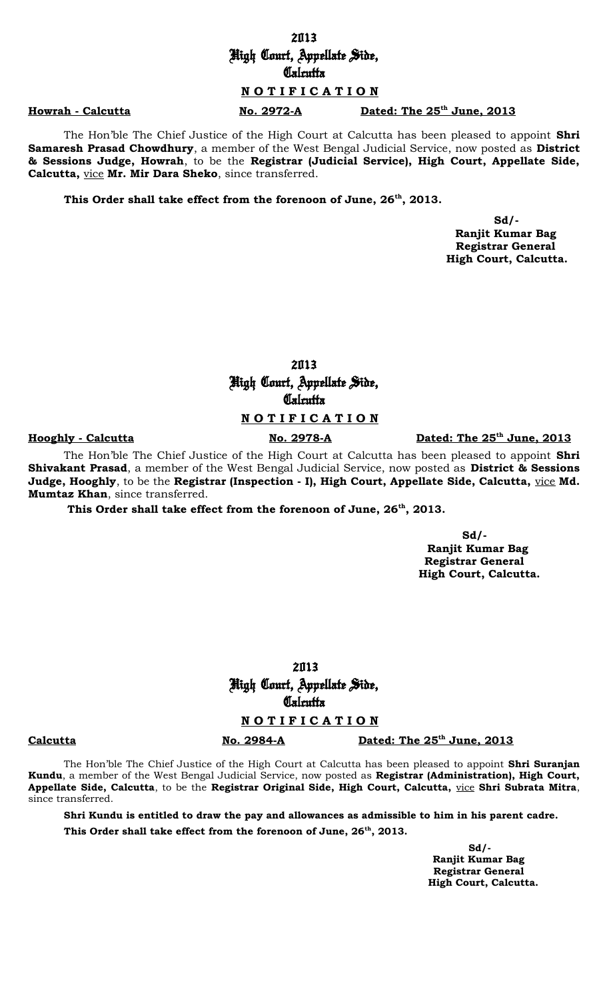# 2013 High Court, Appellate Side, **Calcutta**

## **N O T I F I C A T I O N**

Howrah - Calcutta No. 2972-A Dated: The  $25<sup>th</sup>$  June, 2013

The Hon'ble The Chief Justice of the High Court at Calcutta has been pleased to appoint **Shri Samaresh Prasad Chowdhury**, a member of the West Bengal Judicial Service, now posted as **District & Sessions Judge, Howrah**, to be the **Registrar (Judicial Service), High Court, Appellate Side, Calcutta,** vice **Mr. Mir Dara Sheko**, since transferred.

**This Order shall take effect from the forenoon of June, 26th, 2013.**

 **Sd/- Ranjit Kumar Bag Registrar General High Court, Calcutta.**

> 2013 High Court, Appellate Side, **Calcutta**

## **N O T I F I C A T I O N**

### **Hooghly - Calcutta** No. 2978-A

Dated: The 25<sup>th</sup> June, 2013

The Hon'ble The Chief Justice of the High Court at Calcutta has been pleased to appoint **Shri Shivakant Prasad**, a member of the West Bengal Judicial Service, now posted as **District & Sessions Judge, Hooghly**, to be the **Registrar (Inspection - I), High Court, Appellate Side, Calcutta,** vice **Md. Mumtaz Khan**, since transferred.

**This Order shall take effect from the forenoon of June, 26th, 2013.**

 **Sd/-**

 **Ranjit Kumar Bag Registrar General High Court, Calcutta.**

2013 High Court, Appellate Side, **Calcutta** 

### **N O T I F I C A T I O N**

**Calcutta No. 2984-A Dated: The 25th June, 2013**

The Hon'ble The Chief Justice of the High Court at Calcutta has been pleased to appoint **Shri Suranjan Kundu**, a member of the West Bengal Judicial Service, now posted as **Registrar (Administration), High Court, Appellate Side, Calcutta**, to be the **Registrar Original Side, High Court, Calcutta,** vice **Shri Subrata Mitra**, since transferred.

**Shri Kundu is entitled to draw the pay and allowances as admissible to him in his parent cadre.**

**This Order shall take effect from the forenoon of June, 26th, 2013.**

 **Sd/- Ranjit Kumar Bag Registrar General High Court, Calcutta.**